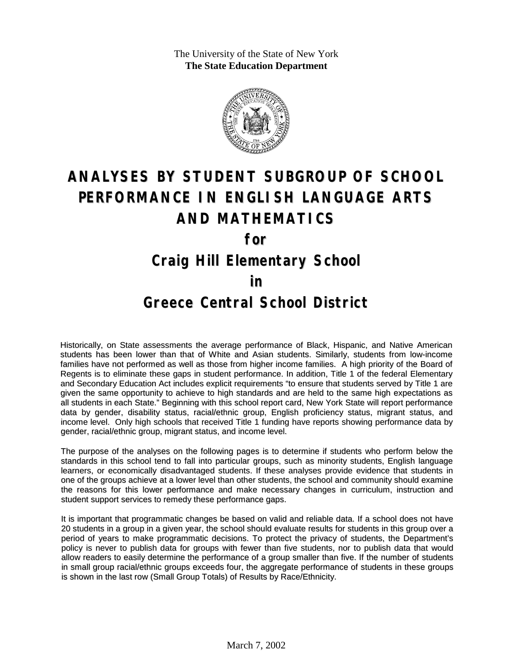The University of the State of New York **The State Education Department**



# **ANALYSES BY STUDENT SUBGROUP OF SCHOOL PERFORMANCE IN ENGLISH LANGUAGE ARTS AND MATHEMATICS for**

## **Craig Hill Elementary School**

#### **in**

### **Greece Central School District**

Historically, on State assessments the average performance of Black, Hispanic, and Native American students has been lower than that of White and Asian students. Similarly, students from low-income families have not performed as well as those from higher income families. A high priority of the Board of Regents is to eliminate these gaps in student performance. In addition, Title 1 of the federal Elementary and Secondary Education Act includes explicit requirements "to ensure that students served by Title 1 are given the same opportunity to achieve to high standards and are held to the same high expectations as all students in each State." Beginning with this school report card, New York State will report performance data by gender, disability status, racial/ethnic group, English proficiency status, migrant status, and income level. Only high schools that received Title 1 funding have reports showing performance data by gender, racial/ethnic group, migrant status, and income level.

The purpose of the analyses on the following pages is to determine if students who perform below the standards in this school tend to fall into particular groups, such as minority students, English language learners, or economically disadvantaged students. If these analyses provide evidence that students in one of the groups achieve at a lower level than other students, the school and community should examine the reasons for this lower performance and make necessary changes in curriculum, instruction and student support services to remedy these performance gaps.

It is important that programmatic changes be based on valid and reliable data. If a school does not have 20 students in a group in a given year, the school should evaluate results for students in this group over a period of years to make programmatic decisions. To protect the privacy of students, the Department's policy is never to publish data for groups with fewer than five students, nor to publish data that would allow readers to easily determine the performance of a group smaller than five. If the number of students in small group racial/ethnic groups exceeds four, the aggregate performance of students in these groups is shown in the last row (Small Group Totals) of Results by Race/Ethnicity.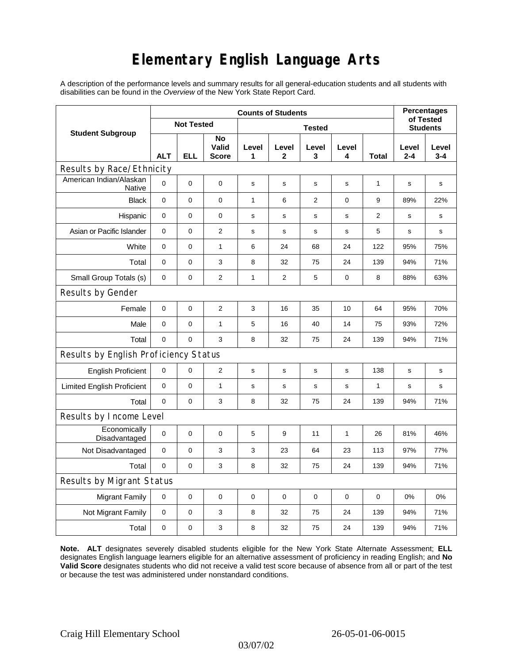## **Elementary English Language Arts**

A description of the performance levels and summary results for all general-education students and all students with disabilities can be found in the *Overview* of the New York State Report Card.

| <b>Student Subgroup</b>                  | <b>Counts of Students</b> |            |                             |               |                       |                |             |              | <b>Percentages</b><br>of Tested |                  |
|------------------------------------------|---------------------------|------------|-----------------------------|---------------|-----------------------|----------------|-------------|--------------|---------------------------------|------------------|
|                                          | <b>Not Tested</b>         |            |                             | <b>Tested</b> |                       |                |             |              | <b>Students</b>                 |                  |
|                                          | <b>ALT</b>                | <b>ELL</b> | No<br>Valid<br><b>Score</b> | Level<br>1    | Level<br>$\mathbf{2}$ | Level<br>3     | Level<br>4  | <b>Total</b> | Level<br>$2 - 4$                | Level<br>$3 - 4$ |
| Results by Race/Ethnicity                |                           |            |                             |               |                       |                |             |              |                                 |                  |
| American Indian/Alaskan<br><b>Native</b> | $\mathbf 0$               | 0          | $\mathbf 0$                 | s             | s                     | s              | $\mathbf s$ | 1            | s                               | s                |
| <b>Black</b>                             | 0                         | 0          | $\pmb{0}$                   | 1             | 6                     | $\overline{2}$ | 0           | 9            | 89%                             | 22%              |
| Hispanic                                 | 0                         | 0          | 0                           | s             | $\mathsf{s}$          | s              | s           | 2            | s                               | s                |
| Asian or Pacific Islander                | $\mathbf 0$               | 0          | $\overline{2}$              | s             | $\mathbf s$           | ${\bf s}$      | s           | 5            | $\mathbf s$                     | s                |
| White                                    | $\mathbf 0$               | 0          | $\mathbf{1}$                | 6             | 24                    | 68             | 24          | 122          | 95%                             | 75%              |
| Total                                    | $\mathbf 0$               | 0          | 3                           | 8             | 32                    | 75             | 24          | 139          | 94%                             | 71%              |
| Small Group Totals (s)                   | 0                         | 0          | $\overline{c}$              | $\mathbf{1}$  | 2                     | 5              | 0           | 8            | 88%                             | 63%              |
| Results by Gender                        |                           |            |                             |               |                       |                |             |              |                                 |                  |
| Female                                   | $\mathbf 0$               | 0          | $\overline{2}$              | 3             | 16                    | 35             | 10          | 64           | 95%                             | 70%              |
| Male                                     | $\mathbf 0$               | 0          | 1                           | 5             | 16                    | 40             | 14          | 75           | 93%                             | 72%              |
| Total                                    | $\mathbf 0$               | 0          | 3                           | 8             | 32                    | 75             | 24          | 139          | 94%                             | 71%              |
| Results by English Proficiency Status    |                           |            |                             |               |                       |                |             |              |                                 |                  |
| <b>English Proficient</b>                | 0                         | 0          | $\overline{2}$              | $\mathbf s$   | $\mathbf S$           | s              | s           | 138          | s                               | $\mathbf s$      |
| <b>Limited English Proficient</b>        | $\mathbf 0$               | 0          | $\mathbf{1}$                | s             | $\mathbf s$           | ${\bf s}$      | s           | $\mathbf{1}$ | $\mathbf s$                     | s                |
| Total                                    | $\mathbf 0$               | 0          | 3                           | 8             | 32                    | 75             | 24          | 139          | 94%                             | 71%              |
| Results by Income Level                  |                           |            |                             |               |                       |                |             |              |                                 |                  |
| Economically<br>Disadvantaged            | $\pmb{0}$                 | 0          | $\mathbf 0$                 | 5             | 9                     | 11             | 1           | 26           | 81%                             | 46%              |
| Not Disadvantaged                        | 0                         | 0          | 3                           | 3             | 23                    | 64             | 23          | 113          | 97%                             | 77%              |
| Total                                    | $\mathbf 0$               | 0          | 3                           | 8             | 32                    | 75             | 24          | 139          | 94%                             | 71%              |
| Results by Migrant Status                |                           |            |                             |               |                       |                |             |              |                                 |                  |
| <b>Migrant Family</b>                    | 0                         | 0          | $\pmb{0}$                   | $\pmb{0}$     | 0                     | $\mathbf 0$    | 0           | 0            | 0%                              | 0%               |
| Not Migrant Family                       | $\mathbf 0$               | 0          | 3                           | 8             | 32                    | 75             | 24          | 139          | 94%                             | 71%              |
| Total                                    | 0                         | 0          | 3                           | 8             | 32                    | 75             | 24          | 139          | 94%                             | 71%              |

**Note. ALT** designates severely disabled students eligible for the New York State Alternate Assessment; **ELL** designates English language learners eligible for an alternative assessment of proficiency in reading English; and **No Valid Score** designates students who did not receive a valid test score because of absence from all or part of the test or because the test was administered under nonstandard conditions.

03/07/02